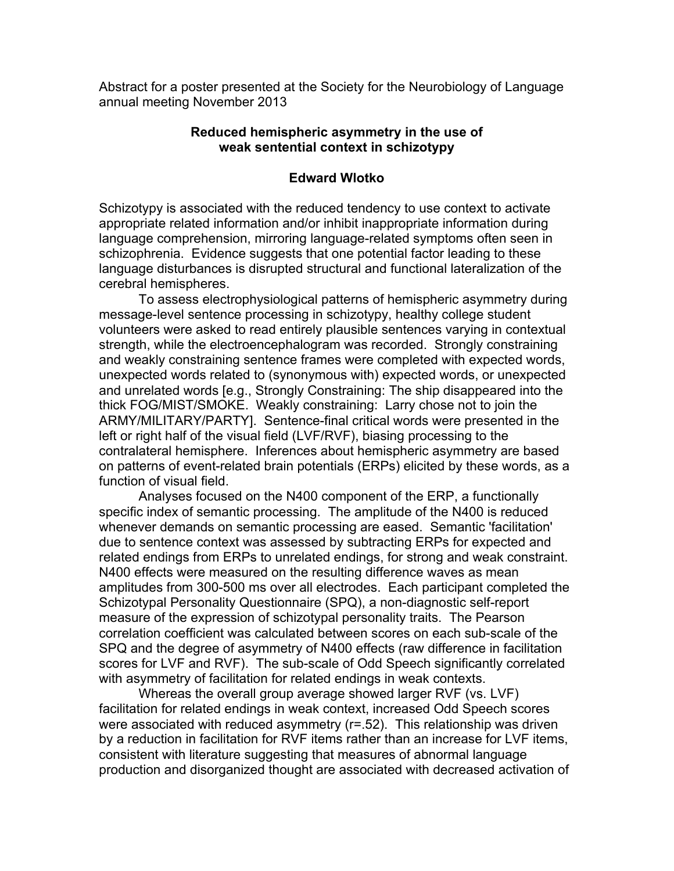Abstract for a poster presented at the Society for the Neurobiology of Language annual meeting November 2013

## **Reduced hemispheric asymmetry in the use of weak sentential context in schizotypy**

## **Edward Wlotko**

Schizotypy is associated with the reduced tendency to use context to activate appropriate related information and/or inhibit inappropriate information during language comprehension, mirroring language-related symptoms often seen in schizophrenia. Evidence suggests that one potential factor leading to these language disturbances is disrupted structural and functional lateralization of the cerebral hemispheres.

To assess electrophysiological patterns of hemispheric asymmetry during message-level sentence processing in schizotypy, healthy college student volunteers were asked to read entirely plausible sentences varying in contextual strength, while the electroencephalogram was recorded. Strongly constraining and weakly constraining sentence frames were completed with expected words, unexpected words related to (synonymous with) expected words, or unexpected and unrelated words [e.g., Strongly Constraining: The ship disappeared into the thick FOG/MIST/SMOKE. Weakly constraining: Larry chose not to join the ARMY/MILITARY/PARTY]. Sentence-final critical words were presented in the left or right half of the visual field (LVF/RVF), biasing processing to the contralateral hemisphere. Inferences about hemispheric asymmetry are based on patterns of event-related brain potentials (ERPs) elicited by these words, as a function of visual field.

Analyses focused on the N400 component of the ERP, a functionally specific index of semantic processing. The amplitude of the N400 is reduced whenever demands on semantic processing are eased. Semantic 'facilitation' due to sentence context was assessed by subtracting ERPs for expected and related endings from ERPs to unrelated endings, for strong and weak constraint. N400 effects were measured on the resulting difference waves as mean amplitudes from 300-500 ms over all electrodes. Each participant completed the Schizotypal Personality Questionnaire (SPQ), a non-diagnostic self-report measure of the expression of schizotypal personality traits. The Pearson correlation coefficient was calculated between scores on each sub-scale of the SPQ and the degree of asymmetry of N400 effects (raw difference in facilitation scores for LVF and RVF). The sub-scale of Odd Speech significantly correlated with asymmetry of facilitation for related endings in weak contexts.

Whereas the overall group average showed larger RVF (vs. LVF) facilitation for related endings in weak context, increased Odd Speech scores were associated with reduced asymmetry (r=.52). This relationship was driven by a reduction in facilitation for RVF items rather than an increase for LVF items, consistent with literature suggesting that measures of abnormal language production and disorganized thought are associated with decreased activation of